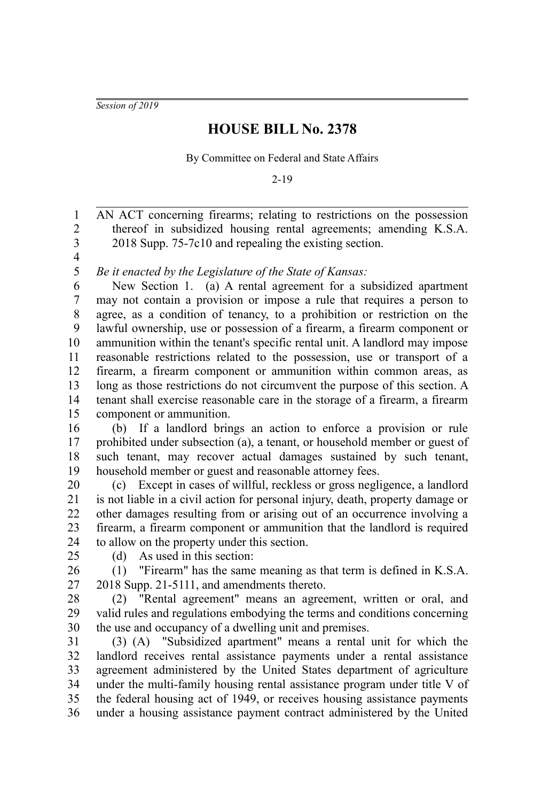*Session of 2019*

## **HOUSE BILL No. 2378**

By Committee on Federal and State Affairs

2-19

AN ACT concerning firearms; relating to restrictions on the possession thereof in subsidized housing rental agreements; amending K.S.A. 2018 Supp. 75-7c10 and repealing the existing section. 1 2 3

4 5

*Be it enacted by the Legislature of the State of Kansas:*

New Section 1. (a) A rental agreement for a subsidized apartment may not contain a provision or impose a rule that requires a person to agree, as a condition of tenancy, to a prohibition or restriction on the lawful ownership, use or possession of a firearm, a firearm component or ammunition within the tenant's specific rental unit. A landlord may impose reasonable restrictions related to the possession, use or transport of a firearm, a firearm component or ammunition within common areas, as long as those restrictions do not circumvent the purpose of this section. A tenant shall exercise reasonable care in the storage of a firearm, a firearm component or ammunition. 6 7 8 9 10 11 12 13 14 15

(b) If a landlord brings an action to enforce a provision or rule prohibited under subsection (a), a tenant, or household member or guest of such tenant, may recover actual damages sustained by such tenant, household member or guest and reasonable attorney fees. 16 17 18 19

(c) Except in cases of willful, reckless or gross negligence, a landlord is not liable in a civil action for personal injury, death, property damage or other damages resulting from or arising out of an occurrence involving a firearm, a firearm component or ammunition that the landlord is required to allow on the property under this section. 20 21 22 23 24

25

(d) As used in this section:

(1) "Firearm" has the same meaning as that term is defined in K.S.A. 2018 Supp. 21-5111, and amendments thereto. 26 27

(2) "Rental agreement" means an agreement, written or oral, and valid rules and regulations embodying the terms and conditions concerning the use and occupancy of a dwelling unit and premises. 28 29 30

(3) (A) "Subsidized apartment" means a rental unit for which the landlord receives rental assistance payments under a rental assistance agreement administered by the United States department of agriculture under the multi-family housing rental assistance program under title V of the federal housing act of 1949, or receives housing assistance payments under a housing assistance payment contract administered by the United 31 32 33 34 35 36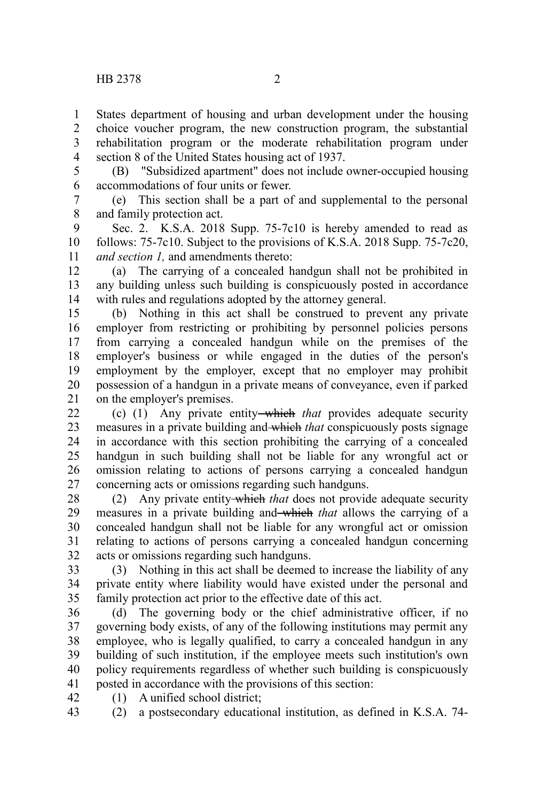States department of housing and urban development under the housing choice voucher program, the new construction program, the substantial rehabilitation program or the moderate rehabilitation program under section 8 of the United States housing act of 1937. 1 2 3 4

5

(B) "Subsidized apartment" does not include owner-occupied housing accommodations of four units or fewer. 6

(e) This section shall be a part of and supplemental to the personal and family protection act. 7 8

Sec. 2. K.S.A. 2018 Supp. 75-7c10 is hereby amended to read as follows: 75-7c10. Subject to the provisions of K.S.A. 2018 Supp. 75-7c20, *and section 1,* and amendments thereto: 9 10 11

(a) The carrying of a concealed handgun shall not be prohibited in any building unless such building is conspicuously posted in accordance with rules and regulations adopted by the attorney general. 12 13 14

(b) Nothing in this act shall be construed to prevent any private employer from restricting or prohibiting by personnel policies persons from carrying a concealed handgun while on the premises of the employer's business or while engaged in the duties of the person's employment by the employer, except that no employer may prohibit possession of a handgun in a private means of conveyance, even if parked on the employer's premises. 15 16 17 18 19 20 21

(c) (1) Any private entity which *that* provides adequate security measures in a private building and which *that* conspicuously posts signage in accordance with this section prohibiting the carrying of a concealed handgun in such building shall not be liable for any wrongful act or omission relating to actions of persons carrying a concealed handgun concerning acts or omissions regarding such handguns. 22 23 24 25 26 27

(2) Any private entity which *that* does not provide adequate security measures in a private building and which *that* allows the carrying of a concealed handgun shall not be liable for any wrongful act or omission relating to actions of persons carrying a concealed handgun concerning acts or omissions regarding such handguns. 28 29 30 31 32

(3) Nothing in this act shall be deemed to increase the liability of any private entity where liability would have existed under the personal and family protection act prior to the effective date of this act. 33 34 35

(d) The governing body or the chief administrative officer, if no governing body exists, of any of the following institutions may permit any employee, who is legally qualified, to carry a concealed handgun in any building of such institution, if the employee meets such institution's own policy requirements regardless of whether such building is conspicuously posted in accordance with the provisions of this section: 36 37 38 39 40 41

(1) A unified school district; 42

(2) a postsecondary educational institution, as defined in K.S.A. 74- 43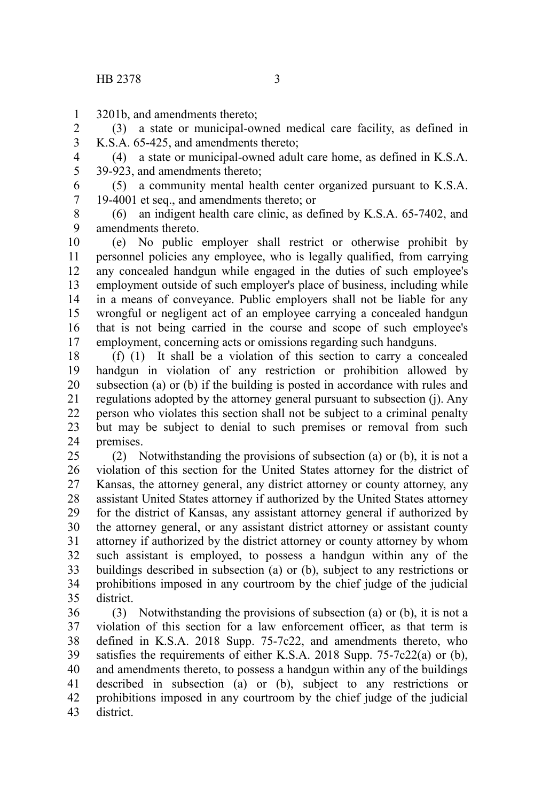3201b, and amendments thereto; 1

(3) a state or municipal-owned medical care facility, as defined in K.S.A. 65-425, and amendments thereto; 2 3

(4) a state or municipal-owned adult care home, as defined in K.S.A. 39-923, and amendments thereto; 4 5

(5) a community mental health center organized pursuant to K.S.A. 19-4001 et seq., and amendments thereto; or 6 7

(6) an indigent health care clinic, as defined by K.S.A. 65-7402, and amendments thereto. 8 9

(e) No public employer shall restrict or otherwise prohibit by personnel policies any employee, who is legally qualified, from carrying any concealed handgun while engaged in the duties of such employee's employment outside of such employer's place of business, including while in a means of conveyance. Public employers shall not be liable for any wrongful or negligent act of an employee carrying a concealed handgun that is not being carried in the course and scope of such employee's employment, concerning acts or omissions regarding such handguns. 10 11 12 13 14 15 16 17

(f) (1) It shall be a violation of this section to carry a concealed handgun in violation of any restriction or prohibition allowed by subsection (a) or (b) if the building is posted in accordance with rules and regulations adopted by the attorney general pursuant to subsection (j). Any person who violates this section shall not be subject to a criminal penalty but may be subject to denial to such premises or removal from such premises. 18 19 20 21 22 23 24

(2) Notwithstanding the provisions of subsection (a) or (b), it is not a violation of this section for the United States attorney for the district of Kansas, the attorney general, any district attorney or county attorney, any assistant United States attorney if authorized by the United States attorney for the district of Kansas, any assistant attorney general if authorized by the attorney general, or any assistant district attorney or assistant county attorney if authorized by the district attorney or county attorney by whom such assistant is employed, to possess a handgun within any of the buildings described in subsection (a) or (b), subject to any restrictions or prohibitions imposed in any courtroom by the chief judge of the judicial district. 25 26 27 28 29 30 31 32 33 34 35

(3) Notwithstanding the provisions of subsection (a) or (b), it is not a violation of this section for a law enforcement officer, as that term is defined in K.S.A. 2018 Supp. 75-7c22, and amendments thereto, who satisfies the requirements of either K.S.A. 2018 Supp. 75-7c22(a) or (b), and amendments thereto, to possess a handgun within any of the buildings described in subsection (a) or (b), subject to any restrictions or prohibitions imposed in any courtroom by the chief judge of the judicial district. 36 37 38 39 40 41 42 43